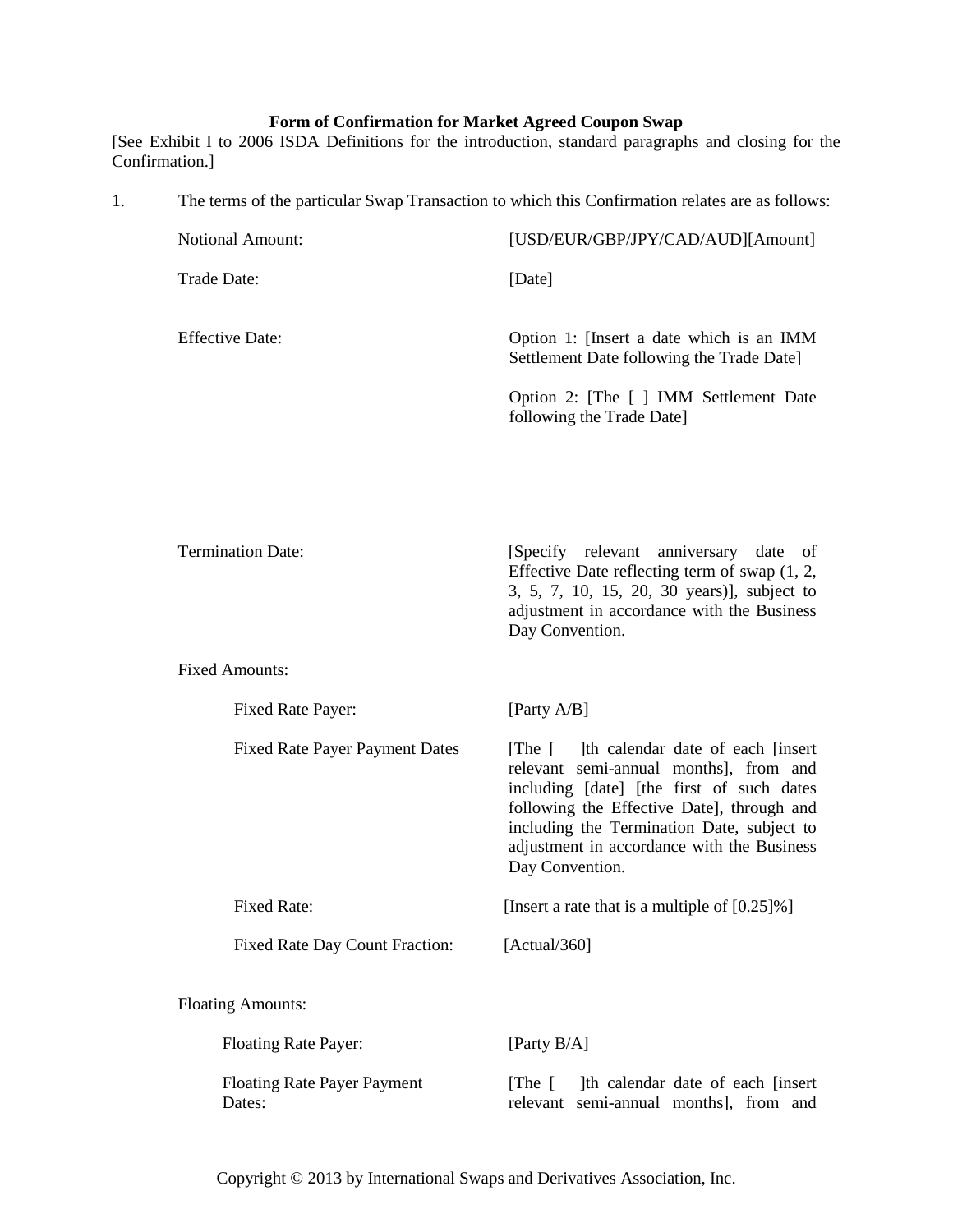## **Form of Confirmation for Market Agreed Coupon Swap**

[See Exhibit I to 2006 ISDA Definitions for the introduction, standard paragraphs and closing for the Confirmation.]

| 1. | The terms of the particular Swap Transaction to which this Confirmation relates are as follows: |                                                                                                                                                                                                                                                                                                     |  |
|----|-------------------------------------------------------------------------------------------------|-----------------------------------------------------------------------------------------------------------------------------------------------------------------------------------------------------------------------------------------------------------------------------------------------------|--|
|    | Notional Amount:                                                                                | [USD/EUR/GBP/JPY/CAD/AUD][Amount]                                                                                                                                                                                                                                                                   |  |
|    | Trade Date:                                                                                     | [Date]                                                                                                                                                                                                                                                                                              |  |
|    | <b>Effective Date:</b>                                                                          | Option 1: [Insert a date which is an IMM<br>Settlement Date following the Trade Date]                                                                                                                                                                                                               |  |
|    |                                                                                                 | Option 2: [The [ ] IMM Settlement Date<br>following the Trade Date]                                                                                                                                                                                                                                 |  |
|    |                                                                                                 |                                                                                                                                                                                                                                                                                                     |  |
|    | <b>Termination Date:</b>                                                                        | [Specify relevant]<br>anniversary<br>date<br>of<br>Effective Date reflecting term of swap $(1, 2, 1)$<br>3, 5, 7, 10, 15, 20, 30 years)], subject to<br>adjustment in accordance with the Business<br>Day Convention.                                                                               |  |
|    | <b>Fixed Amounts:</b>                                                                           |                                                                                                                                                                                                                                                                                                     |  |
|    | Fixed Rate Payer:                                                                               | [Party A/B]                                                                                                                                                                                                                                                                                         |  |
|    | <b>Fixed Rate Payer Payment Dates</b>                                                           | Ith calendar date of each [insert]<br>$[The \]$<br>relevant semi-annual months], from and<br>including [date] [the first of such dates<br>following the Effective Date], through and<br>including the Termination Date, subject to<br>adjustment in accordance with the Business<br>Day Convention. |  |
|    | Fixed Rate:                                                                                     | [Insert a rate that is a multiple of $[0.25]\%$ ]                                                                                                                                                                                                                                                   |  |
|    | <b>Fixed Rate Day Count Fraction:</b>                                                           | [Actual/360]                                                                                                                                                                                                                                                                                        |  |
|    | <b>Floating Amounts:</b>                                                                        |                                                                                                                                                                                                                                                                                                     |  |
|    | <b>Floating Rate Payer:</b>                                                                     | [Party B/A]                                                                                                                                                                                                                                                                                         |  |
|    | <b>Floating Rate Payer Payment</b><br>Dates:                                                    | Ith calendar date of each [insert]<br>[The $\lceil$<br>relevant semi-annual months], from and                                                                                                                                                                                                       |  |